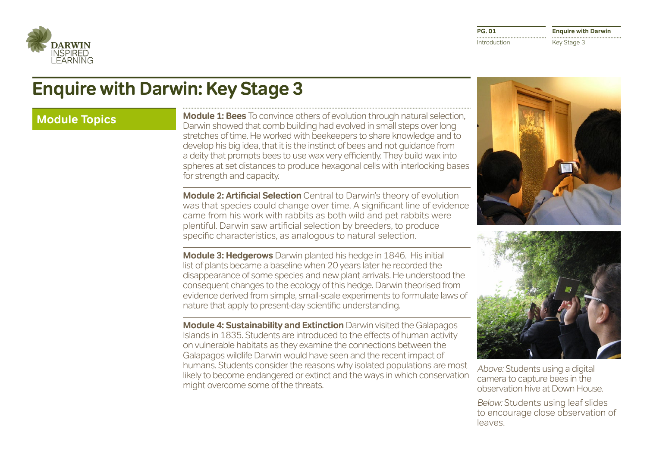

# **Enquire with Darwin: Key Stage 3**

**Module Topics Module 1: Bees** To convince others of evolution through natural selection, Darwin showed that comb building had evolved in small steps over long stretches of time. He worked with beekeepers to share knowledge and to develop his big idea, that it is the instinct of bees and not guidance from a deity that prompts bees to use wax very efficiently. They build wax into spheres at set distances to produce hexagonal cells with interlocking bases for strength and capacity.

> **Module 2: Artificial Selection** Central to Darwin's theory of evolution was that species could change over time. A significant line of evidence came from his work with rabbits as both wild and pet rabbits were plentiful. Darwin saw artificial selection by breeders, to produce specific characteristics, as analogous to natural selection.

> **Module 3: Hedgerows** Darwin planted his hedge in 1846. His initial list of plants became a baseline when 20 years later he recorded the disappearance of some species and new plant arrivals. He understood the consequent changes to the ecology of this hedge. Darwin theorised from evidence derived from simple, small-scale experiments to formulate laws of nature that apply to present-day scientific understanding.

**Module 4: Sustainability and Extinction** Darwin visited the Galapagos Islands in 1835. Students are introduced to the effects of human activity on vulnerable habitats as they examine the connections between the Galapagos wildlife Darwin would have seen and the recent impact of humans. Students consider the reasons why isolated populations are most likely to become endangered or extinct and the ways in which conservation might overcome some of the threats.





Above: Students using a digital camera to capture bees in the observation hive at Down House.

Below: Students using leaf slides to encourage close observation of leaves.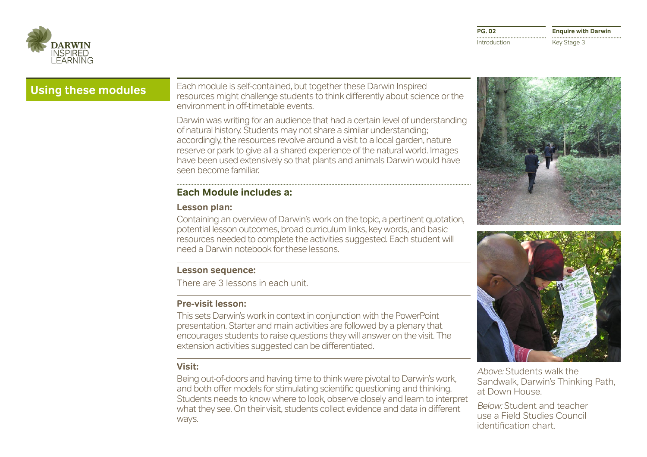

**Using these modules** Each module is self-contained, but together these Darwin Inspired resources might challenge students to think differently about science or the environment in off-timetable events.

> Darwin was writing for an audience that had a certain level of understanding of natural history. Students may not share a similar understanding; accordingly, the resources revolve around a visit to a local garden, nature reserve or park to give all a shared experience of the natural world. Images have been used extensively so that plants and animals Darwin would have seen become familiar.

## **Each Module includes a::**

### **Lesson plan:**

Containing an overview of Darwin's work on the topic, a pertinent quotation, potential lesson outcomes, broad curriculum links, key words, and basic resources needed to complete the activities suggested. Each student will need a Darwin notebook for these lessons.

### **Lesson sequence:**

There are 3 lessons in each unit.

### **Pre-visit lesson:**

This sets Darwin's work in context in conjunction with the PowerPoint presentation. Starter and main activities are followed by a plenary that encourages students to raise questions they will answer on the visit. The extension activities suggested can be differentiated.

#### **Visit:**

Being out-of-doors and having time to think were pivotal to Darwin's work, and both offer models for stimulating scientific questioning and thinking. Students needs to know where to look, observe closely and learn to interpret what they see. On their visit, students collect evidence and data in different ways.





Above: Students walk the Sandwalk, Darwin's Thinking Path, at Down House.

Below: Student and teacher use a Field Studies Council identification chart.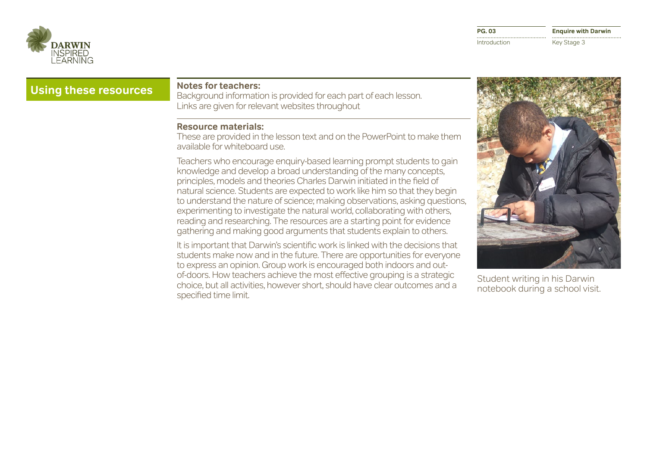

**Enquire with Darwin** Key Stage 3

## **Using these resources Notes for teachers:**

Background information is provided for each part of each lesson. Links are given for relevant websites throughout

#### **Resource materials:**

These are provided in the lesson text and on the PowerPoint to make them available for whiteboard use.

Teachers who encourage enquiry-based learning prompt students to gain knowledge and develop a broad understanding of the many concepts, principles, models and theories Charles Darwin initiated in the field of natural science. Students are expected to work like him so that they begin to understand the nature of science; making observations, asking questions, experimenting to investigate the natural world, collaborating with others, reading and researching. The resources are a starting point for evidence gathering and making good arguments that students explain to others.

It is important that Darwin's scientific work is linked with the decisions that students make now and in the future. There are opportunities for everyone to express an opinion. Group work is encouraged both indoors and outof-doors. How teachers achieve the most effective grouping is a strategic choice, but all activities, however short, should have clear outcomes and a specified time limit.



Student writing in his Darwin notebook during a school visit.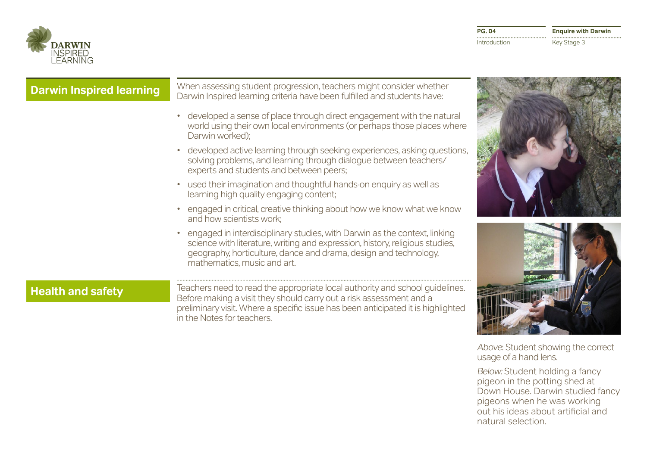

| <b>Darwin Inspired learning</b> | When assessing student progression, teachers might consider whether<br>Darwin Inspired learning criteria have been fulfilled and students have:                                                                                                                       |  |
|---------------------------------|-----------------------------------------------------------------------------------------------------------------------------------------------------------------------------------------------------------------------------------------------------------------------|--|
|                                 | developed a sense of place through direct engagement with the natural<br>world using their own local environments (or perhaps those places where<br>Darwin worked);                                                                                                   |  |
|                                 | developed active learning through seeking experiences, asking questions,<br>solving problems, and learning through dialogue between teachers/<br>experts and students and between peers;                                                                              |  |
|                                 | used their imagination and thoughtful hands-on enquiry as well as<br>learning high quality engaging content;                                                                                                                                                          |  |
|                                 | engaged in critical, creative thinking about how we know what we know<br>and how scientists work;                                                                                                                                                                     |  |
|                                 | engaged in interdisciplinary studies, with Darwin as the context, linking<br>science with literature, writing and expression, history, religious studies,<br>geography, horticulture, dance and drama, design and technology,<br>mathematics, music and art.          |  |
| <b>Health and safety</b>        | Teachers need to read the appropriate local authority and school guidelines.<br>Before making a visit they should carry out a risk assessment and a<br>preliminary visit. Where a specific issue has been anticipated it is highlighted<br>in the Notes for teachers. |  |

Above: Student showing the correct usage of a hand lens.

Below: Student holding a fancy pigeon in the potting shed at Down House. Darwin studied fancy pigeons when he was working out his ideas about artificial and natural selection.